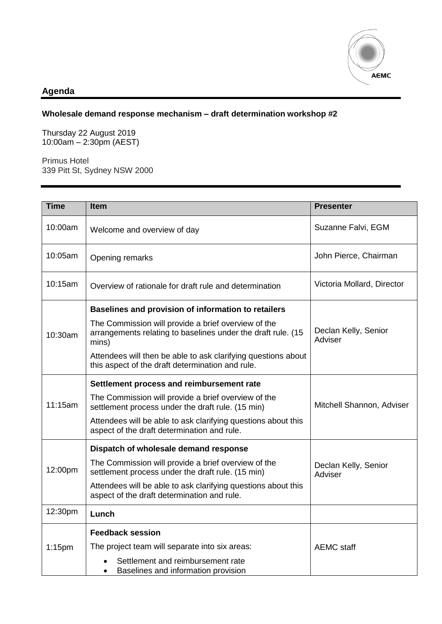

## **Agenda**

## **Wholesale demand response mechanism – draft determination workshop #2**

Thursday 22 August 2019 10:00am – 2:30pm (AEST)

Primus Hotel 339 Pitt St, Sydney NSW 2000

| <b>Time</b> | <b>Item</b>                                                                                                                  | <b>Presenter</b>                |
|-------------|------------------------------------------------------------------------------------------------------------------------------|---------------------------------|
| 10:00am     | Welcome and overview of day                                                                                                  | Suzanne Falvi, EGM              |
| 10:05am     | Opening remarks                                                                                                              | John Pierce, Chairman           |
| 10:15am     | Overview of rationale for draft rule and determination                                                                       | Victoria Mollard, Director      |
| 10:30am     | Baselines and provision of information to retailers                                                                          |                                 |
|             | The Commission will provide a brief overview of the<br>arrangements relating to baselines under the draft rule. (15<br>mins) | Declan Kelly, Senior<br>Adviser |
|             | Attendees will then be able to ask clarifying questions about<br>this aspect of the draft determination and rule.            |                                 |
| 11:15am     | Settlement process and reimbursement rate                                                                                    |                                 |
|             | The Commission will provide a brief overview of the<br>settlement process under the draft rule. (15 min)                     | Mitchell Shannon, Adviser       |
|             | Attendees will be able to ask clarifying questions about this<br>aspect of the draft determination and rule.                 |                                 |
| 12:00pm     | Dispatch of wholesale demand response                                                                                        |                                 |
|             | The Commission will provide a brief overview of the<br>settlement process under the draft rule. (15 min)                     | Declan Kelly, Senior<br>Adviser |
|             | Attendees will be able to ask clarifying questions about this<br>aspect of the draft determination and rule.                 |                                 |
| 12:30pm     | Lunch                                                                                                                        |                                 |
|             | <b>Feedback session</b>                                                                                                      |                                 |
| $1:15$ pm   | The project team will separate into six areas:                                                                               | <b>AEMC</b> staff               |
|             | Settlement and reimbursement rate<br>Baselines and information provision<br>$\bullet$                                        |                                 |